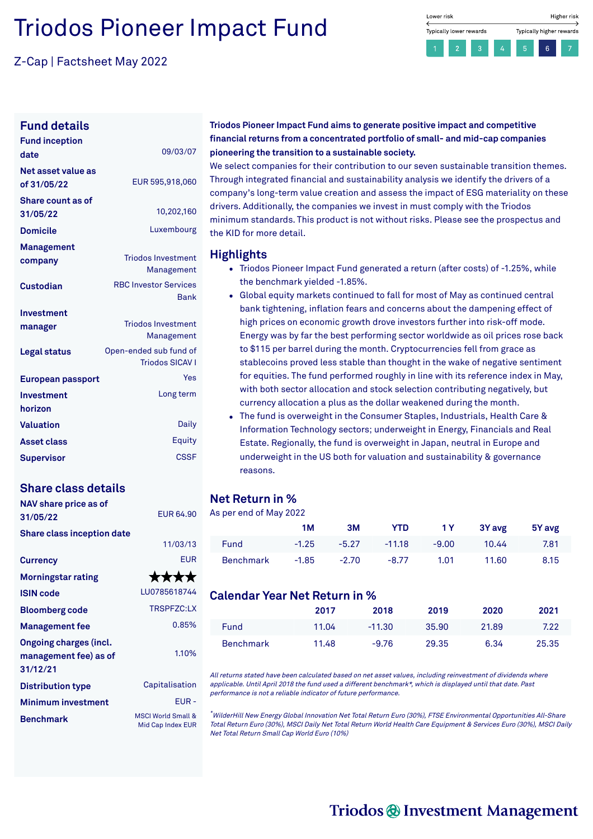# Triodos Pioneer Impact Fund

Z-Cap | Factsheet May 2022



### **Fund details**

| <b>Fund inception</b><br>date     | 09/03/07                                         |
|-----------------------------------|--------------------------------------------------|
| Net asset value as<br>of 31/05/22 | EUR 595,918,060                                  |
| Share count as of<br>31/05/22     | 10,202,160                                       |
| <b>Domicile</b>                   | Luxembourg                                       |
| Management<br>company             | <b>Triodos Investment</b><br>Management          |
| Custodian                         | <b>RBC Investor Services</b><br><b>Bank</b>      |
| Investment<br>manager             | <b>Triodos Investment</b><br>Management          |
| Legal status                      | Open-ended sub fund of<br><b>Triodos SICAV I</b> |
| European passport                 | Yes                                              |
| Investment<br>horizon             | Long term                                        |
| <b>Valuation</b>                  | Daily                                            |
| <b>Asset class</b>                | Equity                                           |
| <b>Supervisor</b>                 | <b>CSSF</b>                                      |

### **Share class details**

| NAV share price as of<br>31/05/22                                  | <b>FUR 64.90</b>                                   |
|--------------------------------------------------------------------|----------------------------------------------------|
| <b>Share class inception date</b>                                  | 11/03/13                                           |
| <b>Currency</b>                                                    | <b>EUR</b>                                         |
| <b>Morningstar rating</b>                                          | ****                                               |
| <b>ISIN code</b>                                                   | LU0785618744                                       |
| <b>Bloomberg code</b>                                              | TRSPFZC:LX                                         |
| <b>Management fee</b>                                              | 0.85%                                              |
| <b>Ongoing charges (incl.</b><br>management fee) as of<br>31/12/21 | 1.10%                                              |
| <b>Distribution type</b>                                           | Capitalisation                                     |
| <b>Minimum investment</b>                                          | EUR-                                               |
| <b>Benchmark</b>                                                   | <b>MSCI World Small &amp;</b><br>Mid Cap Index EUR |

### **Triodos Pioneer Impact Fund aims to generate positive impact and competitive financial returns from a concentrated portfolio of small- and mid-cap companies pioneering the transition to a sustainable society.**

We select companies for their contribution to our seven sustainable transition themes. Through integrated financial and sustainability analysis we identify the drivers of a company's long-term value creation and assess the impact of ESG materiality on these drivers. Additionally, the companies we invest in must comply with the Triodos minimum standards. This product is not without risks. Please see the prospectus and the KID for more detail.

### **Highlights**

- Triodos Pioneer Impact Fund generated a return (after costs) of -1.25%, while the benchmark yielded -1.85%.
- Global equity markets continued to fall for most of May as continued central bank tightening, inflation fears and concerns about the dampening effect of high prices on economic growth drove investors further into risk-off mode. Energy was by far the best performing sector worldwide as oil prices rose back to \$115 per barrel during the month. Cryptocurrencies fell from grace as stablecoins proved less stable than thought in the wake of negative sentiment for equities. The fund performed roughly in line with its reference index in May, with both sector allocation and stock selection contributing negatively, but currency allocation a plus as the dollar weakened during the month.
- The fund is overweight in the Consumer Staples, Industrials, Health Care & Information Technology sectors; underweight in Energy, Financials and Real Estate. Regionally, the fund is overweight in Japan, neutral in Europe and underweight in the US both for valuation and sustainability & governance reasons.

### **Net Return in %**

As per end of May 2022

|                  | 1M      | 3M      | YTD.     | 1Y      | 3Y avg | 5Y avg |
|------------------|---------|---------|----------|---------|--------|--------|
| <b>Fund</b>      | $-1.25$ | $-5.27$ | $-11.18$ | $-9.00$ | 10.44  | 7.81   |
| <b>Benchmark</b> | $-1.85$ | $-2.70$ | $-8.77$  | 1.01    | 11.60  | 8.15   |

### **Calendar Year Net Return in %**

|                  | 2017  | 2018     | 2019  | 2020  | 2021  |
|------------------|-------|----------|-------|-------|-------|
| <b>Fund</b>      | 11.04 | $-11.30$ | 35.90 | 21.89 | 7.22  |
| <b>Benchmark</b> | 11.48 | $-9.76$  | 29.35 | 6.34  | 25.35 |

All returns stated have been calculated based on net asset values, including reinvestment of dividends where applicable. Until April 2018 the fund used <sup>a</sup> different benchmark\*, which is displayed until that date. Past performance is not <sup>a</sup> reliable indicator of future performance.

\*WilderHill New Energy Global Innovation Net Total Return Euro (30%), FTSE Environmental Opportunities All-Share Total Return Euro (30%), MSCI Daily Net Total Return World Health Care Equipment & Services Euro (30%), MSCI Daily Net Total Return Small Cap World Euro (10%)

# Triodos @ Investment Management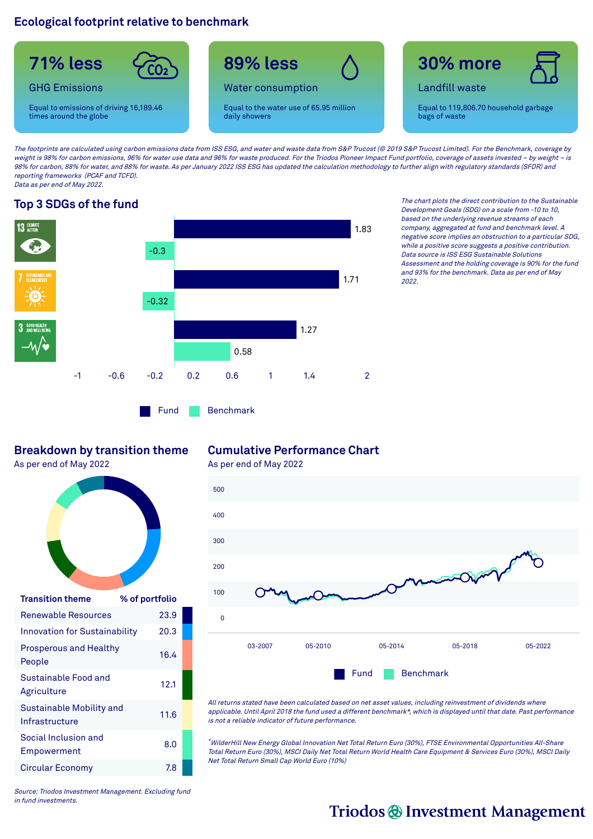### **Ecological footprint relative to benchmark**



The footprints are calculated using carbon emissions data from ISS ESG, and water and waste data from S&P Trucost (@ 2019 S&P Trucost Limited). For the Benchmark, coverage by weight is 98% for carbon emissions, 96% for water use data and 96% for waste produced. For the Triodos Pioneer Impact Fund portfolio, coverage of assets invested – by weight – is 98% for carbon, 88% for water, and 88% for waste. As per January 2022 ISS ESG has updated the calculation methodology to further align with regulatory standards (SFDR) and reporting frameworks (PCAF and TCFD). Data as per end of May 2022.



Fund Benchmark

**Top 3 SDGs of the fund** The chart plots the direct contribution to the Sustainable Development Goals (SDG) on <sup>a</sup> scale from -10 to 10, based on the underlying revenue streams of each company, aggregated at fund and benchmark level. A negative score implies an obstruction to <sup>a</sup> particular SDG, while <sup>a</sup> positive score suggests <sup>a</sup> positive contribution. Data source is ISS ESG Sustainable Solutions Assessment and the holding coverage is 90% for the fund and 93% for the benchmark. Data as per end of May 2022.

### **Breakdown by transition theme**

As per end of May 2022



| <b>Transition theme</b>                    | % of portfolio |
|--------------------------------------------|----------------|
| <b>Renewable Resources</b>                 | 23.9           |
| <b>Innovation for Sustainability</b>       | 20.3           |
| <b>Prosperous and Healthy</b><br>People    | 16.4           |
| Sustainable Food and<br>Agriculture        | 12.1           |
| Sustainable Mobility and<br>Infrastructure | 11.6           |
| Social Inclusion and<br>Empowerment        | 8.0            |
| Circular Economy                           | 7.8            |

### **Cumulative Performance Chart**

As per end of May 2022



All returns stated have been calculated based on net asset values, including reinvestment of dividends where applicable. Until April 2018 the fund used <sup>a</sup> different benchmark\*, which is displayed until that date. Past performance is not <sup>a</sup> reliable indicator of future performance.

\*WilderHill New Energy Global Innovation Net Total Return Euro (30%), FTSE Environmental Opportunities All-Share Total Return Euro (30%), MSCI Daily Net Total Return World Health Care Equipment & Services Euro (30%), MSCI Daily Net Total Return Small Cap World Euro (10%)

Source: Triodos Investment Management. Excluding fund in fund investments.

# Triodos @ Investment Management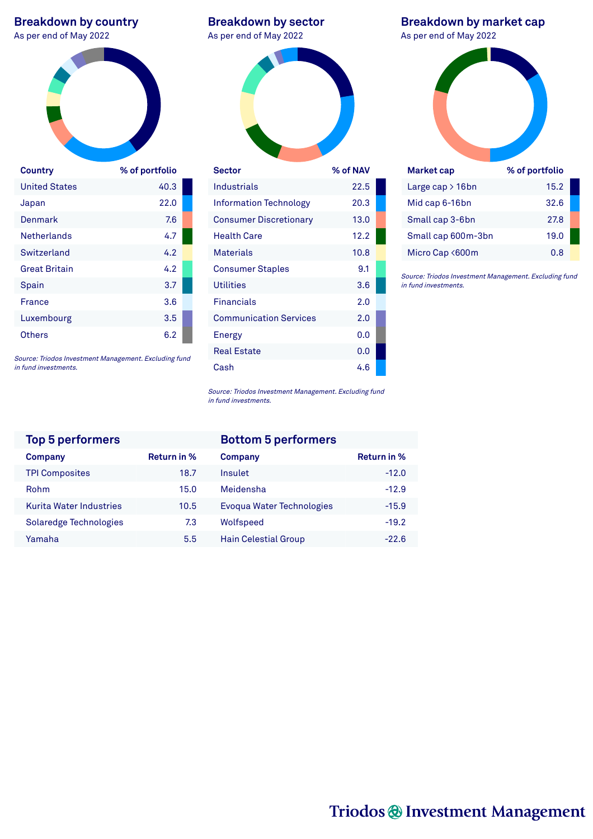# **Breakdown by country**<br>As per end of May 2022



| Country              | % of portfolio |
|----------------------|----------------|
| <b>United States</b> | 40.3           |
| Japan                | 22.0           |
| Denmark              | 7.6            |
| <b>Netherlands</b>   | 4.7            |
| Switzerland          | 4.2            |
| <b>Great Britain</b> | 4.2            |
| Spain                | 3.7            |
| France               | 3.6            |
| Luxembourg           | 3.5            |
| Others               | 6.2            |

Source: Triodos Investment Management. Excluding fund in fund investments.

|  | <b>Breakdown by sector</b> |
|--|----------------------------|
|  | .                          |

As per end of May 2022



| <b>Sector</b>                 | % of NAV |  |
|-------------------------------|----------|--|
| Industrials                   | 22.5     |  |
| <b>Information Technology</b> | 20.3     |  |
| <b>Consumer Discretionary</b> | 13.0     |  |
| Health Care                   | 12.2     |  |
| <b>Materials</b>              | 10.8     |  |
| <b>Consumer Staples</b>       | 9.1      |  |
| <b>Utilities</b>              | 3.6      |  |
| <b>Financials</b>             | 2.0      |  |
| <b>Communication Services</b> | 2.0      |  |
| Energy                        | 0.0      |  |
| <b>Real Estate</b>            | 0.0      |  |
| Cash                          | 4.6      |  |

**Breakdown by market cap**<br>As per end of May 2022



| **************      | $10 - 100$ |  |
|---------------------|------------|--|
| Large cap $> 16$ bn | 15.2       |  |
| Mid cap 6-16bn      | 32.6       |  |
| Small cap 3-6bn     | 27.8       |  |
| Small cap 600m-3bn  | 19.0       |  |
| Micro Cap <600m     | 0.8        |  |

Source: Triodos Investment Management. Excluding fund in fund investments.

Source: Triodos Investment Management. Excluding fund in fund investments.

| <b>Top 5 performers</b>        |                    | <b>Bottom 5 performers</b>  |
|--------------------------------|--------------------|-----------------------------|
| Company                        | <b>Return in %</b> | Company                     |
| <b>TPI Composites</b>          | 18.7               | Insulet                     |
| Rohm                           | 15.0               | Meidensha                   |
| <b>Kurita Water Industries</b> | 10.5               | Evoqua Water Technologies   |
| Solaredge Technologies         | 7.3                | Wolfspeed                   |
| Yamaha                         | 5.5                | <b>Hain Celestial Group</b> |
|                                |                    |                             |

| <b>Top 5 performers</b> |             | <b>Bottom 5 performers</b>  |                    |
|-------------------------|-------------|-----------------------------|--------------------|
| Company                 | Return in % | Company                     | <b>Return in %</b> |
| <b>TPI Composites</b>   | 18.7        | Insulet                     | $-12.0$            |
| Rohm                    | 15.0        | Meidensha                   | $-12.9$            |
| Kurita Water Industries | 10.5        | Evoqua Water Technologies   | $-15.9$            |
| Solaredge Technologies  | 7.3         | Wolfspeed                   | $-19.2$            |
| Yamaha                  | 5.5         | <b>Hain Celestial Group</b> | $-22.6$            |